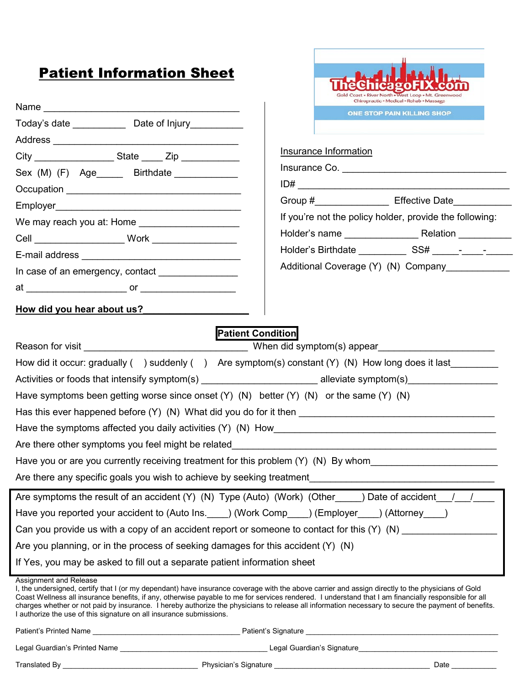# **Patient Information Sheet**

| <b>Patient Information Sheet</b>                                                                                                                                                                                                                                                                                                                                                                                                                                                                                                                                  |                          |                              |                                                                                             |
|-------------------------------------------------------------------------------------------------------------------------------------------------------------------------------------------------------------------------------------------------------------------------------------------------------------------------------------------------------------------------------------------------------------------------------------------------------------------------------------------------------------------------------------------------------------------|--------------------------|------------------------------|---------------------------------------------------------------------------------------------|
|                                                                                                                                                                                                                                                                                                                                                                                                                                                                                                                                                                   |                          |                              |                                                                                             |
|                                                                                                                                                                                                                                                                                                                                                                                                                                                                                                                                                                   |                          |                              | Coast . River North . West Loop . Mt. Greenwood<br>Chiropractic + Medical + Rehab + Massage |
| Today's date _______________________ Date of Injury_____________________________                                                                                                                                                                                                                                                                                                                                                                                                                                                                                  |                          |                              | ONE STOP PAIN KILLING SHOP                                                                  |
|                                                                                                                                                                                                                                                                                                                                                                                                                                                                                                                                                                   |                          |                              |                                                                                             |
|                                                                                                                                                                                                                                                                                                                                                                                                                                                                                                                                                                   |                          | <b>Insurance Information</b> |                                                                                             |
| Sex (M) (F) Age______ Birthdate ____________                                                                                                                                                                                                                                                                                                                                                                                                                                                                                                                      |                          |                              |                                                                                             |
|                                                                                                                                                                                                                                                                                                                                                                                                                                                                                                                                                                   |                          |                              |                                                                                             |
|                                                                                                                                                                                                                                                                                                                                                                                                                                                                                                                                                                   |                          |                              | Group #______________________ Effective Date_______________                                 |
|                                                                                                                                                                                                                                                                                                                                                                                                                                                                                                                                                                   |                          |                              | If you're not the policy holder, provide the following:                                     |
|                                                                                                                                                                                                                                                                                                                                                                                                                                                                                                                                                                   |                          |                              |                                                                                             |
|                                                                                                                                                                                                                                                                                                                                                                                                                                                                                                                                                                   |                          |                              |                                                                                             |
|                                                                                                                                                                                                                                                                                                                                                                                                                                                                                                                                                                   |                          |                              | Additional Coverage (Y) (N) Company ___________                                             |
|                                                                                                                                                                                                                                                                                                                                                                                                                                                                                                                                                                   |                          |                              |                                                                                             |
| How did you hear about us?                                                                                                                                                                                                                                                                                                                                                                                                                                                                                                                                        |                          |                              |                                                                                             |
|                                                                                                                                                                                                                                                                                                                                                                                                                                                                                                                                                                   | <b>Patient Condition</b> |                              |                                                                                             |
|                                                                                                                                                                                                                                                                                                                                                                                                                                                                                                                                                                   |                          |                              |                                                                                             |
| How did it occur: gradually $($ ) suddenly $($ ) Are symptom(s) constant $(Y)$ $(N)$ How long does it last                                                                                                                                                                                                                                                                                                                                                                                                                                                        |                          |                              |                                                                                             |
| Activities or foods that intensify symptom(s) __________________________________alleviate symptom(s)                                                                                                                                                                                                                                                                                                                                                                                                                                                              |                          |                              |                                                                                             |
| Have symptoms been getting worse since onset $(Y)$ (N) better $(Y)$ (N) or the same $(Y)$ (N)                                                                                                                                                                                                                                                                                                                                                                                                                                                                     |                          |                              |                                                                                             |
| Has this ever happened before (Y) (N) What did you do for it then                                                                                                                                                                                                                                                                                                                                                                                                                                                                                                 |                          |                              |                                                                                             |
|                                                                                                                                                                                                                                                                                                                                                                                                                                                                                                                                                                   |                          |                              |                                                                                             |
| Are there other symptoms you feel might be related                                                                                                                                                                                                                                                                                                                                                                                                                                                                                                                |                          |                              |                                                                                             |
| Have you or are you currently receiving treatment for this problem (Y) (N) By whom                                                                                                                                                                                                                                                                                                                                                                                                                                                                                |                          |                              |                                                                                             |
| Are there any specific goals you wish to achieve by seeking treatment                                                                                                                                                                                                                                                                                                                                                                                                                                                                                             |                          |                              |                                                                                             |
| Are symptoms the result of an accident (Y) (N) Type (Auto) (Work) (Other____) Date of accident___/___/____                                                                                                                                                                                                                                                                                                                                                                                                                                                        |                          |                              |                                                                                             |
| Have you reported your accident to (Auto Ins. ____) (Work Comp____) (Employer ____) (Attorney ____)                                                                                                                                                                                                                                                                                                                                                                                                                                                               |                          |                              |                                                                                             |
| Can you provide us with a copy of an accident report or someone to contact for this (Y) (N) ______________                                                                                                                                                                                                                                                                                                                                                                                                                                                        |                          |                              |                                                                                             |
| Are you planning, or in the process of seeking damages for this accident $(Y)$ (N)                                                                                                                                                                                                                                                                                                                                                                                                                                                                                |                          |                              |                                                                                             |
| If Yes, you may be asked to fill out a separate patient information sheet                                                                                                                                                                                                                                                                                                                                                                                                                                                                                         |                          |                              |                                                                                             |
| Assignment and Release<br>I, the undersigned, certify that I (or my dependant) have insurance coverage with the above carrier and assign directly to the physicians of Gold<br>Coast Wellness all insurance benefits, if any, otherwise payable to me for services rendered. I understand that I am financially responsible for all<br>charges whether or not paid by insurance. I hereby authorize the physicians to release all information necessary to secure the payment of benefits.<br>I authorize the use of this signature on all insurance submissions. |                          |                              |                                                                                             |
|                                                                                                                                                                                                                                                                                                                                                                                                                                                                                                                                                                   |                          |                              |                                                                                             |
|                                                                                                                                                                                                                                                                                                                                                                                                                                                                                                                                                                   |                          |                              |                                                                                             |
|                                                                                                                                                                                                                                                                                                                                                                                                                                                                                                                                                                   |                          |                              | Date $\_\_$                                                                                 |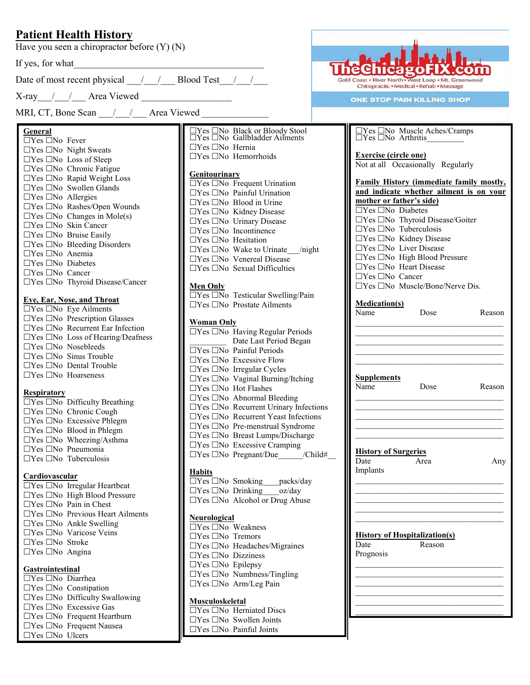## **Patient Health History**

Have you seen a chiropractor before (Y) (N)

If yes, for what

Date of most recent physical  $\frac{1}{\sqrt{2}}$  Blood Test\_ $\frac{1}{\sqrt{2}}$ 

 $X$ -ray / / Area Viewed

MRI, CT, Bone Scan / / Area Viewed

## **General**

 $\Box$ Yes  $\Box$ No Fever  $\Box$ Yes  $\Box$ No Night Sweats  $\Box$ Yes  $\Box$ No Loss of Sleep  $\Box$ Yes  $\Box$ No Chronic Fatigue  $\Box$ Yes  $\Box$ No Rapid Weight Loss  $\Box$ Yes  $\Box$ No Swollen Glands  $\Box$ Yes  $\Box$ No Allergies  $\Box$ Yes  $\Box$ No Rashes/Open Wounds  $\Box$ Yes  $\Box$ No Changes in Mole(s)  $\Box$ Yes  $\Box$ No Skin Cancer  $\Box$ Yes  $\Box$ No Bruise Easily  $\Box$ Yes  $\Box$ No Bleeding Disorders  $\Box$ Yes  $\Box$ No Anemia  $\Box$ Yes  $\Box$ No Diabetes  $\Box$ Yes  $\Box$ No Cancer  $\Box$ Yes  $\Box$ No Thyroid Disease/Cancer

## **Eye, Ear, Nose, and Throat**

 $\Box$ Yes  $\Box$ No Eye Ailments  $\Box$ Yes  $\Box$ No Prescription Glasses  $\Box$ Yes  $\Box$ No Recurrent Ear Infection  $\Box$ Yes  $\Box$ No Loss of Hearing/Deafness  $\Box$ Yes  $\Box$ No Nosebleeds  $\Box$ Yes  $\Box$ No Sinus Trouble  $\Box$ Yes  $\Box$ No Dental Trouble  $\Box$ Yes  $\Box$ No Hoarseness

#### **Respiratory**

|                                | $\Box$ Yes $\Box$ No Difficulty Breathing |
|--------------------------------|-------------------------------------------|
|                                | □Yes □No Chronic Cough                    |
|                                | $\Box$ Yes $\Box$ No Excessive Phlegm     |
|                                | $\Box$ Yes $\Box$ No Blood in Phlegm      |
|                                | $\Box$ Yes $\Box$ No Wheezing/Asthma      |
| $\Box$ Yes $\Box$ No Pneumonia |                                           |
|                                | $\Box$ Yes $\Box$ No Tuberculosis         |

#### **Cardiovascular**

 $\overline{\Box Yes \Box No \text{ Irregular Heartbeat}}$  $\Box$ Yes  $\Box$ No High Blood Pressure  $\Box$ Yes  $\Box$ No Pain in Chest  $\Box$ Yes  $\Box$ No Previous Heart Ailments  $\Box$ Yes  $\Box$ No Ankle Swelling  $\Box$ Yes  $\Box$ No Varicose Veins  $\Box$ Yes  $\Box$ No Stroke  $\Box$ Yes  $\Box$ No Angina

### **Gastrointestinal**

 $\Box$ Yes  $\Box$ No Diarrhea  $\Box$ Yes  $\Box$ No Constipation  $\Box$ Yes  $\Box$ No Difficulty Swallowing  $\Box$ Yes  $\Box$ No Excessive Gas  $\Box$ Yes  $\Box$ No Frequent Heartburn  $\Box$ Yes  $\Box$ No Frequent Nausea  $\Box$ Yes  $\Box$ No Ulcers

 $\begin{array}{l}\square\text{Yes}\ \square\text{No}\ \text{Black}\ \text{or}\ \text{Block}\ \text{Stool}\\ \square\text{Yes}\ \square\text{No}\ \text{Gallbladder}\ \text{Ailments}\end{array}$  $\Box$ Yes  $\Box$ No Hernia  $\Box$ Yes  $\Box$ No Hemorrhoids

#### **Genitourinary**

 $\overline{\Box Yes \Box No \text{ }$  Frequent Urination  $\Box$ Yes  $\Box$ No Painful Urination  $\Box$ Yes  $\Box$ No Blood in Urine  $\Box$ Yes  $\Box$ No Kidney Disease  $\Box$ Yes  $\Box$ No Urinary Disease  $\Box$ Yes  $\Box$ No Incontinence  $\Box$ Yes  $\Box$ No Hesitation  $\Box$ Yes  $\Box$ No Wake to Urinate /night  $\Box$ Yes  $\Box$ No Venereal Disease  $\Box$ Yes  $\Box$ No Sexual Difficulties

### **Men Only**

| $\Box$ Yes $\Box$ No Testicular Swelling/Pain |
|-----------------------------------------------|
| $\Box$ Yes $\Box$ No Prostate Ailments        |

#### **Woman Only**

 $\Box$ Yes  $\Box$ No Having Regular Periods Date Last Period Began  $\overline{\Box Yes \Box No}$  Painful Periods  $\Box$ Yes  $\Box$ No Excessive Flow  $\Box$ Yes  $\Box$ No Irregular Cycles  $\Box$ Yes  $\Box$ No Vaginal Burning/Itching  $\Box$ Yes  $\Box$ No Hot Flashes  $\Box$ Yes  $\Box$ No Abnormal Bleeding  $\Box$ Yes  $\Box$ No Recurrent Urinary Infections  $\Box$ Yes  $\Box$ No Recurrent Yeast Infections  $\Box$ Yes  $\Box$ No Pre-menstrual Syndrome  $\Box$ Yes  $\Box$ No Breast Lumps/Discharge  $\Box$ Yes  $\Box$ No Excessive Cramping Yes No Pregnant/Due\_\_\_\_\_\_/Child#\_\_

#### **Habits**

|                                            | $\Box$ Yes $\Box$ No Smoking packs/day |
|--------------------------------------------|----------------------------------------|
| $\Box$ Yes $\Box$ No Drinking oz/day       |                                        |
| $\Box$ Yes $\Box$ No Alcohol or Drug Abuse |                                        |

#### **Neurological**

 $\square$  Yes  $\square$  No Weakness  $\Box$ Yes  $\Box$ No Tremors  $\Box$ Yes  $\Box$ No Headaches/Migraines  $\Box$ Yes  $\Box$ No Dizziness  $\Box$ Yes  $\Box$ No Epilepsy  $\Box$ Yes  $\Box$ No Numbness/Tingling  $\Box$ Yes  $\Box$ No Arm/Leg Pain

#### **Musculoskeletal**

 $\overline{\Box Yes \Box No$  Herniated Discs  $\Box$ Yes  $\Box$ No Swollen Joints  $\Box$ Yes  $\Box$ No Painful Joints



**ONE STOP PAIN KILLING SHOP** 

| □Yes □No Muscle Aches/Cramps<br>□Yes □No Arthritis                |        |
|-------------------------------------------------------------------|--------|
| <b>Exercise (circle one)</b><br>Not at all Occasionally Regularly |        |
| Family History (immediate family mostly,                          |        |
| and indicate whether ailment is on your                           |        |
| mother or father's side)                                          |        |
| $\Box$ Yes $\Box$ No Diabetes                                     |        |
| TYes □No Thyroid Disease/Goiter                                   |        |
| TYes □No Tuberculosis                                             |        |
| TYes □No Kidney Disease                                           |        |
| ∃Yes □No Liver Disease                                            |        |
| $\Box$ Yes $\Box$ No High Blood Pressure                          |        |
| $\Box$ Yes $\Box$ No Heart Disease                                |        |
| $\Box$ Yes $\Box$ No Cancer                                       |        |
| $\Box$ Yes $\Box$ No Muscle/Bone/Nerve Dis.                       |        |
| <b>Medication(s)</b>                                              |        |
| Name<br>Dose                                                      | Reason |
|                                                                   |        |
|                                                                   |        |
|                                                                   |        |
|                                                                   |        |
|                                                                   |        |
| <b>Supplements</b>                                                |        |
| Name<br>Dose                                                      | Reason |
|                                                                   |        |
|                                                                   |        |
|                                                                   |        |
|                                                                   |        |
|                                                                   |        |
|                                                                   |        |
| <b>History of Surgeries</b><br>Date<br>Area                       | Any    |
| Implants                                                          |        |
|                                                                   |        |
|                                                                   |        |
|                                                                   |        |
|                                                                   |        |
|                                                                   |        |
|                                                                   |        |
|                                                                   |        |
| <b>History of Hospitalization(s)</b>                              |        |
| Date<br>Reason                                                    |        |
| Prognosis                                                         |        |
|                                                                   |        |
|                                                                   |        |
|                                                                   |        |
|                                                                   |        |
|                                                                   |        |
|                                                                   |        |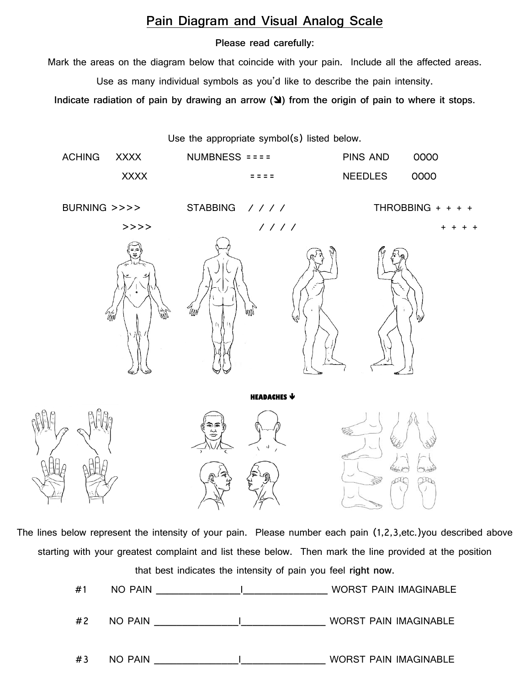## **Pain Diagram and Visual Analog Scale**

## **Please read carefully:**

Mark the areas on the diagram below that coincide with your pain. Include all the affected areas.

Use as many individual symbols as you'd like to describe the pain intensity.

**Indicate radiation of pain by drawing an arrow (** $\blacktriangle$ **) from the origin of pain to where it stops.** 



The lines below represent the intensity of your pain. Please number each pain (1,2,3,etc.)you described above starting with your greatest complaint and list these below. Then mark the line provided at the position that best indicates the intensity of pain you feel **right now**.

| #1 | NO PAIN | WORST PAIN IMAGINABLE        |
|----|---------|------------------------------|
| #2 | NO PAIN | <b>WORST PAIN IMAGINABLE</b> |
| #3 | NO PAIN | <b>WORST PAIN IMAGINABLE</b> |